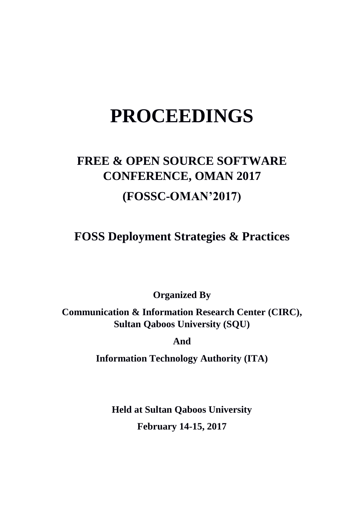# **PROCEEDINGS**

## **FREE & OPEN SOURCE SOFTWARE CONFERENCE, OMAN 2017 (FOSSC-OMAN'2017)**

**FOSS Deployment Strategies & Practices**

**Organized By**

**Communication & Information Research Center (CIRC), Sultan Qaboos University (SQU)**

**And**

**Information Technology Authority (ITA)**

**Held at Sultan Qaboos University February 14-15, 2017**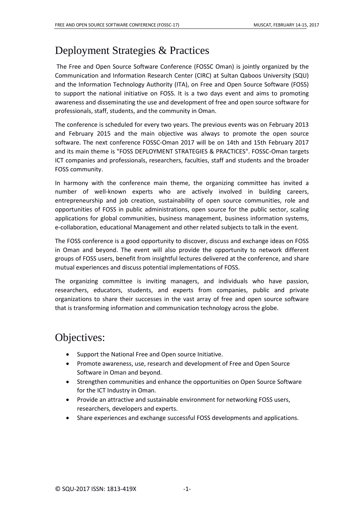### Deployment Strategies & Practices

The Free and Open Source Software Conference (FOSSC Oman) is jointly organized by the Communication and Information Research Center (CIRC) at Sultan Qaboos University (SQU) and the Information Technology Authority (ITA), on Free and Open Source Software (FOSS) to support the national initiative on FOSS. It is a two days event and aims to promoting awareness and disseminating the use and development of free and open source software for professionals, staff, students, and the community in Oman.

The conference is scheduled for every two years. The previous events was on February 2013 and February 2015 and the main objective was always to promote the open source software. The next conference FOSSC-Oman 2017 will be on 14th and 15th February 2017 and its main theme is "FOSS DEPLOYMENT STRATEGIES & PRACTICES". FOSSC-Oman targets ICT companies and professionals, researchers, faculties, staff and students and the broader FOSS community.

In harmony with the conference main theme, the organizing committee has invited a number of well-known experts who are actively involved in building careers, entrepreneurship and job creation, sustainability of open source communities, role and opportunities of FOSS in public administrations, open source for the public sector, scaling applications for global communities, business management, business information systems, e-collaboration, educational Management and other related subjects to talk in the event.

The FOSS conference is a good opportunity to discover, discuss and exchange ideas on FOSS in Oman and beyond. The event will also provide the opportunity to network different groups of FOSS users, benefit from insightful lectures delivered at the conference, and share mutual experiences and discuss potential implementations of FOSS.

The organizing committee is inviting managers, and individuals who have passion, researchers, educators, students, and experts from companies, public and private organizations to share their successes in the vast array of free and open source software that is transforming information and communication technology across the globe.

### Objectives:

- Support the National Free and Open source Initiative.
- Promote awareness, use, research and development of Free and Open Source Software in Oman and beyond.
- Strengthen communities and enhance the opportunities on Open Source Software for the ICT Industry in Oman.
- Provide an attractive and sustainable environment for networking FOSS users, researchers, developers and experts.
- Share experiences and exchange successful FOSS developments and applications.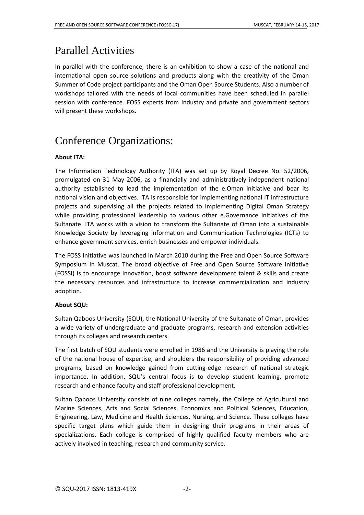### Parallel Activities

In parallel with the conference, there is an exhibition to show a case of the national and international open source solutions and products along with the creativity of the Oman Summer of Code project participants and the Oman Open Source Students. Also a number of workshops tailored with the needs of local communities have been scheduled in parallel session with conference. FOSS experts from Industry and private and government sectors will present these workshops.

### Conference Organizations:

### **About ITA:**

The Information Technology Authority (ITA) was set up by Royal Decree No. 52/2006, promulgated on 31 May 2006, as a financially and administratively independent national authority established to lead the implementation of the e.Oman initiative and bear its national vision and objectives. ITA is responsible for implementing national IT infrastructure projects and supervising all the projects related to implementing Digital Oman Strategy while providing professional leadership to various other e.Governance initiatives of the Sultanate. ITA works with a vision to transform the Sultanate of Oman into a sustainable Knowledge Society by leveraging Information and Communication Technologies (ICTs) to enhance government services, enrich businesses and empower individuals.

The FOSS Initiative was launched in March 2010 during the Free and Open Source Software Symposium in Muscat. The broad objective of Free and Open Source Software Initiative (FOSSI) is to encourage innovation, boost software development talent & skills and create the necessary resources and infrastructure to increase commercialization and industry adoption.

### **About SQU:**

Sultan Qaboos University (SQU), the National University of the Sultanate of Oman, provides a wide variety of undergraduate and graduate programs, research and extension activities through its colleges and research centers.

The first batch of SQU students were enrolled in 1986 and the University is playing the role of the national house of expertise, and shoulders the responsibility of providing advanced programs, based on knowledge gained from cutting-edge research of national strategic importance. In addition, SQU's central focus is to develop student learning, promote research and enhance faculty and staff professional development.

Sultan Qaboos University consists of nine colleges namely, the College of Agricultural and Marine Sciences, Arts and Social Sciences, Economics and Political Sciences, Education, Engineering, Law, Medicine and Health Sciences, Nursing, and Science. These colleges have specific target plans which guide them in designing their programs in their areas of specializations. Each college is comprised of highly qualified faculty members who are actively involved in teaching, research and community service.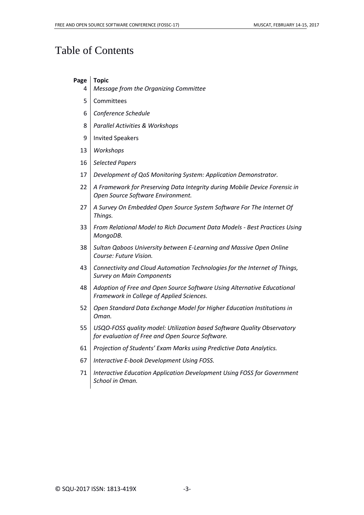### Table of Contents

### **Page Topic**

- 4 *Message from the Organizing Committee*
- 5 Committees
- 6 *Conference Schedule*
- 8 *Parallel Activities & Workshops*
- 9 | Invited Speakers
- 13 *Workshops*
- 16 *Selected Papers*
- 17 *Development of QoS Monitoring System: Application Demonstrator.*
- 22 *A Framework for Preserving Data Integrity during Mobile Device Forensic in Open Source Software Environment.*
- 27 *A Survey On Embedded Open Source System Software For The Internet Of Things.*
- 33 *From Relational Model to Rich Document Data Models - Best Practices Using MongoDB.*
- 38 *Sultan Qaboos University between E-Learning and Massive Open Online Course: Future Vision.*
- 43 *Connectivity and Cloud Automation Technologies for the Internet of Things, Survey on Main Components*
- 48 *Adoption of Free and Open Source Software Using Alternative Educational Framework in College of Applied Sciences.*
- 52 *Open Standard Data Exchange Model for Higher Education Institutions in Oman.*
- 55 *USQO-FOSS quality model: Utilization based Software Quality Observatory for evaluation of Free and Open Source Software.*
- 61 *Projection of Students' Exam Marks using Predictive Data Analytics.*
- 67 *Interactive E-book Development Using FOSS.*
- 71 *Interactive Education Application Development Using FOSS for Government School in Oman.*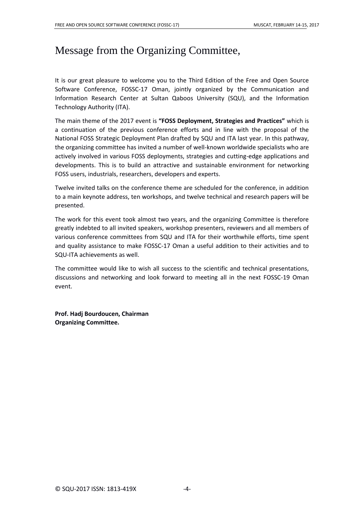### Message from the Organizing Committee,

It is our great pleasure to welcome you to the Third Edition of the Free and Open Source Software Conference, FOSSC-17 Oman, jointly organized by the Communication and Information Research Center at Sultan Qaboos University (SQU), and the Information Technology Authority (ITA).

The main theme of the 2017 event is **"FOSS Deployment, Strategies and Practices"** which is a continuation of the previous conference efforts and in line with the proposal of the National FOSS Strategic Deployment Plan drafted by SQU and ITA last year. In this pathway, the organizing committee has invited a number of well-known worldwide specialists who are actively involved in various FOSS deployments, strategies and cutting-edge applications and developments. This is to build an attractive and sustainable environment for networking FOSS users, industrials, researchers, developers and experts.

Twelve invited talks on the conference theme are scheduled for the conference, in addition to a main keynote address, ten workshops, and twelve technical and research papers will be presented.

The work for this event took almost two years, and the organizing Committee is therefore greatly indebted to all invited speakers, workshop presenters, reviewers and all members of various conference committees from SQU and ITA for their worthwhile efforts, time spent and quality assistance to make FOSSC-17 Oman a useful addition to their activities and to SQU-ITA achievements as well.

The committee would like to wish all success to the scientific and technical presentations, discussions and networking and look forward to meeting all in the next FOSSC-19 Oman event.

**Prof. Hadj Bourdoucen, Chairman Organizing Committee.**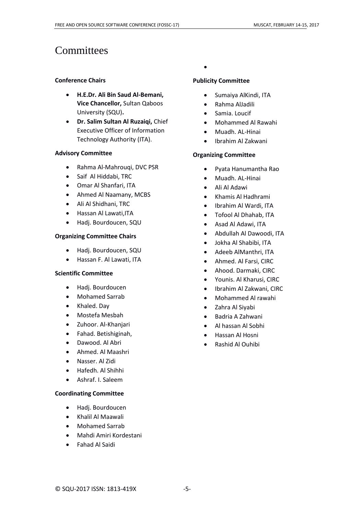### **Committees**

#### **Conference Chairs**

- **H.E.Dr. Ali Bin Saud Al-Bemani, Vice Chancellor,** Sultan Qaboos University (SQU)**.**
- **Dr. Salim Sultan Al Ruzaiqi,** Chief Executive Officer of Information Technology Authority (ITA).

#### **Advisory Committee**

- Rahma Al-Mahrouqi, DVC PSR
- Saif Al Hiddabi, TRC
- Omar Al Shanfari, ITA
- Ahmed Al Naamany, MCBS
- Ali Al Shidhani, TRC
- Hassan Al Lawati,ITA
- Hadj. Bourdoucen, SQU

#### **Organizing Committee Chairs**

- Hadj. Bourdoucen, SQU
- Hassan F. Al Lawati, ITA

### **Scientific Committee**

- Hadj. Bourdoucen
- Mohamed Sarrab
- Khaled. Day
- Mostefa Mesbah
- Zuhoor. Al-Khanjari
- Fahad. Betishiginah,
- Dawood. Al Abri
- Ahmed. Al Maashri
- Nasser. Al Zidi
- Hafedh. Al Shihhi
- Ashraf. I. Saleem

### **Coordinating Committee**

- Hadj. Bourdoucen
- Khalil Al Maawali
- Mohamed Sarrab
- Mahdi Amiri Kordestani
- Fahad Al Saidi

### $\bullet$

#### **Publicity Committee**

- Sumaiya AlKindi, ITA
- Rahma AlJadili
- Samia. Loucif
- Mohammed Al Rawahi
- Muadh. AL-Hinai
- Ibrahim Al Zakwani

### **Organizing Committee**

- Pyata Hanumantha Rao
- Muadh. AL-Hinai
- Ali Al Adawi
- Khamis Al Hadhrami
- Ibrahim Al Wardi, ITA
- Tofool Al Dhahab, ITA
- Asad Al Adawi, ITA
- Abdullah Al Dawoodi, ITA
- Jokha Al Shabibi, ITA
- Adeeb AlManthri, ITA
- Ahmed. Al Farsi, CIRC
- Ahood. Darmaki, CIRC
- Younis. Al Kharusi, CIRC
- Ibrahim Al Zakwani, CIRC
- Mohammed Al rawahi
- Zahra Al Siyabi
- Badria A Zahwani
- Al hassan Al Sobhi
- Hassan Al Hosni
- Rashid Al Ouhibi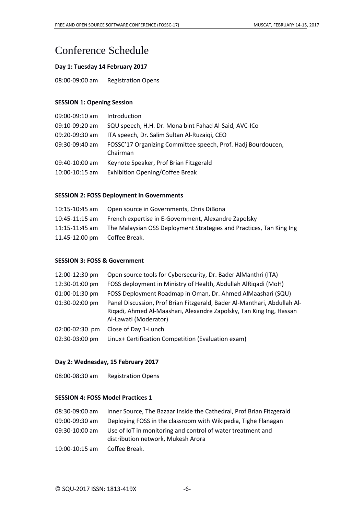### Conference Schedule

### **Day 1: Tuesday 14 February 2017**

08:00-09:00 am | Registration Opens

### **SESSION 1: Opening Session**

| 09:00-09:10 am | Introduction                                                 |
|----------------|--------------------------------------------------------------|
| 09:10-09:20 am | SQU speech, H.H. Dr. Mona bint Fahad Al-Said, AVC-ICo        |
| 09:20-09:30 am | ITA speech, Dr. Salim Sultan Al-Ruzaiqi, CEO                 |
| 09:30-09:40 am | FOSSC'17 Organizing Committee speech, Prof. Hadj Bourdoucen, |
|                | Chairman                                                     |
| 09:40-10:00 am | Keynote Speaker, Prof Brian Fitzgerald                       |
| 10:00-10:15 am | <b>Exhibition Opening/Coffee Break</b>                       |

#### **SESSION 2: FOSS Deployment in Governments**

|                                | 10:15-10:45 am   Open source in Governments, Chris DiBona                          |
|--------------------------------|------------------------------------------------------------------------------------|
|                                | 10:45-11:15 am   French expertise in E-Government, Alexandre Zapolsky              |
|                                | 11:15-11:45 am The Malaysian OSS Deployment Strategies and Practices, Tan King Ing |
| 11.45-12.00 pm   Coffee Break. |                                                                                    |

#### **SESSION 3: FOSS & Government**

| 12:00-12:30 pm | Open source tools for Cybersecurity, Dr. Bader AlManthri (ITA)                                                                                                           |
|----------------|--------------------------------------------------------------------------------------------------------------------------------------------------------------------------|
| 12:30-01:00 pm | FOSS deployment in Ministry of Health, Abdullah AlRigadi (MoH)                                                                                                           |
| 01:00-01:30 pm | FOSS Deployment Roadmap in Oman, Dr. Ahmed AlMaashari (SQU)                                                                                                              |
| 01:30-02:00 pm | Panel Discussion, Prof Brian Fitzgerald, Bader Al-Manthari, Abdullah Al-<br>Rigadi, Ahmed Al-Maashari, Alexandre Zapolsky, Tan King Ing, Hassan<br>Al-Lawati (Moderator) |
| 02:00-02:30 pm | Close of Day 1-Lunch                                                                                                                                                     |
| 02:30-03:00 pm | Linux+ Certification Competition (Evaluation exam)                                                                                                                       |

### **Day 2: Wednesday, 15 February 2017**

08:00-08:30 am | Registration Opens

### **SESSION 4: FOSS Model Practices 1**

| Inner Source, The Bazaar Inside the Cathedral, Prof Brian Fitzgerald                              |
|---------------------------------------------------------------------------------------------------|
| Deploying FOSS in the classroom with Wikipedia, Tighe Flanagan                                    |
| Use of IoT in monitoring and control of water treatment and<br>distribution network, Mukesh Arora |
| l Coffee Break.                                                                                   |
|                                                                                                   |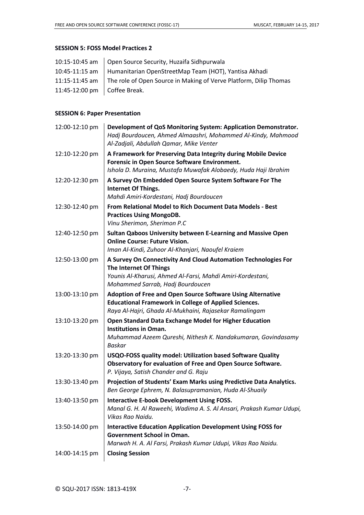#### **SESSION 5: FOSS Model Practices 2**

|                                      | 10:15-10:45 am   Open Source Security, Huzaifa Sidhpurwala                         |
|--------------------------------------|------------------------------------------------------------------------------------|
|                                      | 10:45-11:15 am   Humanitarian OpenStreetMap Team (HOT), Yantisa Akhadi             |
|                                      | 11:15-11:45 am   The role of Open Source in Making of Verve Platform, Dilip Thomas |
| 11:45-12:00 pm $\Big $ Coffee Break. |                                                                                    |
|                                      |                                                                                    |

### **SESSION 6: Paper Presentation**

| 12:00-12:10 pm | Development of QoS Monitoring System: Application Demonstrator.<br>Hadj Bourdoucen, Ahmed Almaashri, Mohammed Al-Kindy, Mahmood<br>Al-Zadjali, Abdullah Qamar, Mike Venter                 |
|----------------|--------------------------------------------------------------------------------------------------------------------------------------------------------------------------------------------|
| 12:10-12:20 pm | A Framework for Preserving Data Integrity during Mobile Device<br>Forensic in Open Source Software Environment.<br>Ishola D. Muraina, Mustafa Muwafak Alobaedy, Huda Haji Ibrahim          |
| 12:20-12:30 pm | A Survey On Embedded Open Source System Software For The<br><b>Internet Of Things.</b><br>Mahdi Amiri-Kordestani, Hadj Bourdoucen                                                          |
| 12:30-12:40 pm | From Relational Model to Rich Document Data Models - Best<br><b>Practices Using MongoDB.</b><br>Vinu Sherimon, Sherimon P.C                                                                |
| 12:40-12:50 pm | Sultan Qaboos University between E-Learning and Massive Open<br><b>Online Course: Future Vision.</b><br>Iman Al-Kindi, Zuhoor Al-Khanjari, Naoufel Kraiem                                  |
| 12:50-13:00 pm | A Survey On Connectivity And Cloud Automation Technologies For<br>The Internet Of Things<br>Younis Al-Kharusi, Ahmed Al-Farsi, Mahdi Amiri-Kordestani,<br>Mohammed Sarrab, Hadj Bourdoucen |
| 13:00-13:10 pm | Adoption of Free and Open Source Software Using Alternative<br><b>Educational Framework in College of Applied Sciences.</b><br>Raya Al-Hajri, Ghada Al-Mukhaini, Rajasekar Ramalingam      |
| 13:10-13:20 pm | Open Standard Data Exchange Model for Higher Education<br><b>Institutions in Oman.</b><br>Muhammad Azeem Qureshi, Nithesh K. Nandakumaran, Govindasamy<br><b>Baskar</b>                    |
| 13:20-13:30 pm | USQO-FOSS quality model: Utilization based Software Quality<br>Observatory for evaluation of Free and Open Source Software.<br>P. Vijaya, Satish Chander and G. Raju                       |
| 13:30-13:40 pm | Projection of Students' Exam Marks using Predictive Data Analytics.<br>Ben George Ephrem, N. Balasupramanian, Huda Al-Shuaily                                                              |
| 13:40-13:50 pm | <b>Interactive E-book Development Using FOSS.</b><br>Manal G. H. Al Raweehi, Wadima A. S. Al Ansari, Prakash Kumar Udupi,<br>Vikas Rao Naidu.                                              |
| 13:50-14:00 pm | <b>Interactive Education Application Development Using FOSS for</b><br><b>Government School in Oman.</b><br>Marwah H. A. Al Farsi, Prakash Kumar Udupi, Vikas Rao Naidu.                   |
| 14:00-14:15 pm | <b>Closing Session</b>                                                                                                                                                                     |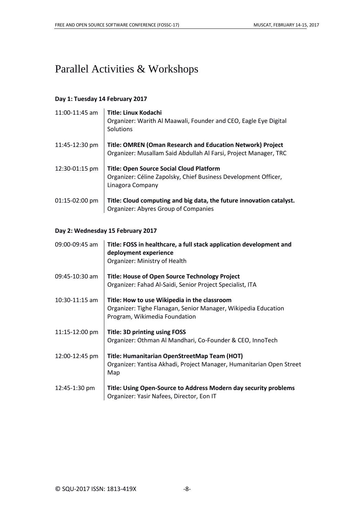### Parallel Activities & Workshops

### **Day 1: Tuesday 14 February 2017**

| 11:00-11:45 am | <b>Title: Linux Kodachi</b><br>Organizer: Warith Al Maawali, Founder and CEO, Eagle Eye Digital<br>Solutions                           |
|----------------|----------------------------------------------------------------------------------------------------------------------------------------|
| 11:45-12:30 pm | <b>Title: OMREN (Oman Research and Education Network) Project</b><br>Organizer: Musallam Said Abdullah Al Farsi, Project Manager, TRC  |
| 12:30-01:15 pm | <b>Title: Open Source Social Cloud Platform</b><br>Organizer: Céline Zapolsky, Chief Business Development Officer,<br>Linagora Company |
| 01:15-02:00 pm | Title: Cloud computing and big data, the future innovation catalyst.<br><b>Organizer: Abyres Group of Companies</b>                    |

### **Day 2: Wednesday 15 February 2017**

| 09:00-09:45 am   | Title: FOSS in healthcare, a full stack application development and<br>deployment experience<br>Organizer: Ministry of Health                   |
|------------------|-------------------------------------------------------------------------------------------------------------------------------------------------|
| 09:45-10:30 am   | <b>Title: House of Open Source Technology Project</b><br>Organizer: Fahad Al-Saidi, Senior Project Specialist, ITA                              |
| $10:30-11:15$ am | Title: How to use Wikipedia in the classroom<br>Organizer: Tighe Flanagan, Senior Manager, Wikipedia Education<br>Program, Wikimedia Foundation |
| 11:15-12:00 pm   | <b>Title: 3D printing using FOSS</b><br>Organizer: Othman Al Mandhari, Co-Founder & CEO, InnoTech                                               |
| 12:00-12:45 pm   | Title: Humanitarian OpenStreetMap Team (HOT)<br>Organizer: Yantisa Akhadi, Project Manager, Humanitarian Open Street<br>Map                     |
| 12:45-1:30 pm    | Title: Using Open-Source to Address Modern day security problems<br>Organizer: Yasir Nafees, Director, Eon IT                                   |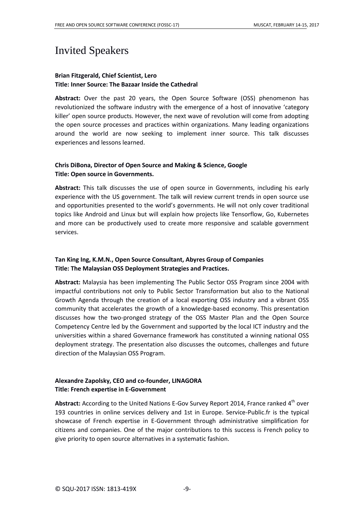### Invited Speakers

### **Brian Fitzgerald, Chief Scientist, Lero Title: Inner Source: The Bazaar Inside the Cathedral**

**Abstract:** Over the past 20 years, the Open Source Software (OSS) phenomenon has revolutionized the software industry with the emergence of a host of innovative 'category killer' open source products. However, the next wave of revolution will come from adopting the open source processes and practices within organizations. Many leading organizations around the world are now seeking to implement inner source. This talk discusses experiences and lessons learned.

### **Chris DiBona, Director of Open Source and Making & Science, Google Title: Open source in Governments.**

**Abstract:** This talk discusses the use of open source in Governments, including his early experience with the US government. The talk will review current trends in open source use and opportunities presented to the world's governments. He will not only cover traditional topics like Android and Linux but will explain how projects like Tensorflow, Go, Kubernetes and more can be productively used to create more responsive and scalable government services.

### **Tan King Ing, K.M.N., Open Source Consultant, Abyres Group of Companies Title: The Malaysian OSS Deployment Strategies and Practices.**

**Abstract:** Malaysia has been implementing The Public Sector OSS Program since 2004 with impactful contributions not only to Public Sector Transformation but also to the National Growth Agenda through the creation of a local exporting OSS industry and a vibrant OSS community that accelerates the growth of a knowledge-based economy. This presentation discusses how the two-pronged strategy of the OSS Master Plan and the Open Source Competency Centre led by the Government and supported by the local ICT industry and the universities within a shared Governance framework has constituted a winning national OSS deployment strategy. The presentation also discusses the outcomes, challenges and future direction of the Malaysian OSS Program.

### **Alexandre Zapolsky, CEO and co-founder, LINAGORA Title: French expertise in E-Government**

Abstract: According to the United Nations E-Gov Survey Report 2014, France ranked 4<sup>th</sup> over 193 countries in online services delivery and 1st in Europe. Service-Public.fr is the typical showcase of French expertise in E-Government through administrative simplification for citizens and companies. One of the major contributions to this success is French policy to give priority to open source alternatives in a systematic fashion.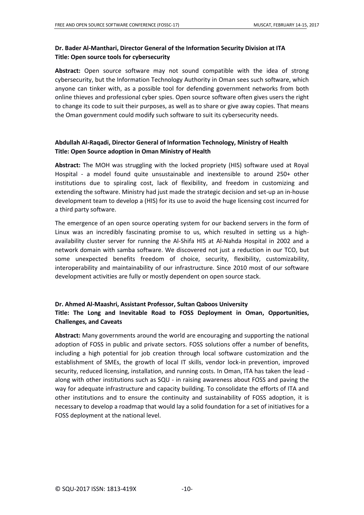### **Dr. Bader Al-Manthari, Director General of the Information Security Division at ITA Title: Open source tools for cybersecurity**

**Abstract:** Open source software may not sound compatible with the idea of strong cybersecurity, but the Information Technology Authority in Oman sees such software, which anyone can tinker with, as a possible tool for defending government networks from both online thieves and professional cyber spies. Open source software often gives users the right to change its code to suit their purposes, as well as to share or give away copies. That means the Oman government could modify such software to suit its cybersecurity needs.

### **Abdullah Al-Raqadi, Director General of Information Technology, Ministry of Health Title: Open Source adoption in Oman Ministry of Health**

**Abstract:** The MOH was struggling with the locked propriety (HIS) software used at Royal Hospital - a model found quite unsustainable and inextensible to around 250+ other institutions due to spiraling cost, lack of flexibility, and freedom in customizing and extending the software. Ministry had just made the strategic decision and set-up an in-house development team to develop a (HIS) for its use to avoid the huge licensing cost incurred for a third party software.

The emergence of an open source operating system for our backend servers in the form of Linux was an incredibly fascinating promise to us, which resulted in setting us a highavailability cluster server for running the Al-Shifa HIS at Al-Nahda Hospital in 2002 and a network domain with samba software. We discovered not just a reduction in our TCO, but some unexpected benefits freedom of choice, security, flexibility, customizability, interoperability and maintainability of our infrastructure. Since 2010 most of our software development activities are fully or mostly dependent on open source stack.

### **Dr. Ahmed Al-Maashri, Assistant Professor, Sultan Qaboos University Title: The Long and Inevitable Road to FOSS Deployment in Oman, Opportunities, Challenges, and Caveats**

**Abstract:** Many governments around the world are encouraging and supporting the national adoption of FOSS in public and private sectors. FOSS solutions offer a number of benefits, including a high potential for job creation through local software customization and the establishment of SMEs, the growth of local IT skills, vendor lock-in prevention, improved security, reduced licensing, installation, and running costs. In Oman, ITA has taken the lead along with other institutions such as SQU - in raising awareness about FOSS and paving the way for adequate infrastructure and capacity building. To consolidate the efforts of ITA and other institutions and to ensure the continuity and sustainability of FOSS adoption, it is necessary to develop a roadmap that would lay a solid foundation for a set of initiatives for a FOSS deployment at the national level.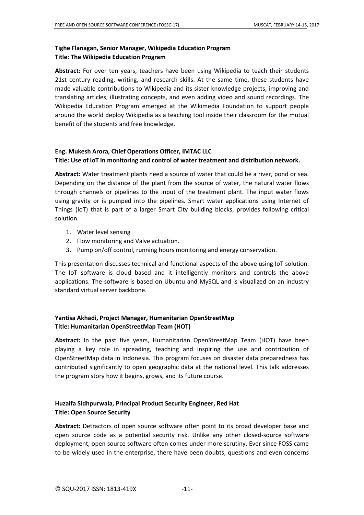### **Tighe Flanagan, Senior Manager, Wikipedia Education Program Title: The Wikipedia Education Program**

**Abstract:** For over ten years, teachers have been using Wikipedia to teach their students 21st century reading, writing, and research skills. At the same time, these students have made valuable contributions to Wikipedia and its sister knowledge projects, improving and translating articles, illustrating concepts, and even adding video and sound recordings. The Wikipedia Education Program emerged at the Wikimedia Foundation to support people around the world deploy Wikipedia as a teaching tool inside their classroom for the mutual benefit of the students and free knowledge.

### **Eng. Mukesh Arora, Chief Operations Officer, IMTAC LLC Title: Use of IoT in monitoring and control of water treatment and distribution network.**

**Abstract:** Water treatment plants need a source of water that could be a river, pond or sea. Depending on the distance of the plant from the source of water, the natural water flows through channels or pipelines to the input of the treatment plant. The input water flows using gravity or is pumped into the pipelines. Smart water applications using Internet of Things (IoT) that is part of a larger Smart City building blocks, provides following critical solution.

- 1. Water level sensing
- 2. Flow monitoring and Valve actuation.
- 3. Pump on/off control, running hours monitoring and energy conservation.

This presentation discusses technical and functional aspects of the above using IoT solution. The IoT software is cloud based and it intelligently monitors and controls the above applications. The software is based on Ubuntu and MySQL and is visualized on an industry standard virtual server backbone.

### **Yantisa Akhadi, Project Manager, Humanitarian OpenStreetMap Title: Humanitarian OpenStreetMap Team (HOT)**

**Abstract:** In the past five years, Humanitarian OpenStreetMap Team (HOT) have been playing a key role in spreading, teaching and inspiring the use and contribution of OpenStreetMap data in Indonesia. This program focuses on disaster data preparedness has contributed significantly to open geographic data at the national level. This talk addresses the program story how it begins, grows, and its future course.

### **Huzaifa Sidhpurwala, Principal Product Security Engineer, Red Hat Title: Open Source Security**

**Abstract:** Detractors of open source software often point to its broad developer base and open source code as a potential security risk. Unlike any other closed-source software deployment, open source software often comes under more scrutiny. Ever since FOSS came to be widely used in the enterprise, there have been doubts, questions and even concerns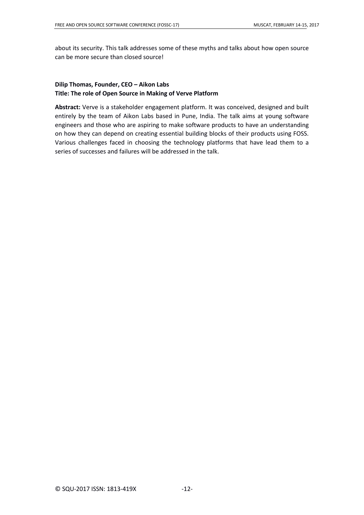about its security. This talk addresses some of these myths and talks about how open source can be more secure than closed source!

### **Dilip Thomas, Founder, CEO – Aikon Labs Title: The role of Open Source in Making of Verve Platform**

**Abstract:** Verve is a stakeholder engagement platform. It was conceived, designed and built entirely by the team of Aikon Labs based in Pune, India. The talk aims at young software engineers and those who are aspiring to make software products to have an understanding on how they can depend on creating essential building blocks of their products using FOSS. Various challenges faced in choosing the technology platforms that have lead them to a series of successes and failures will be addressed in the talk.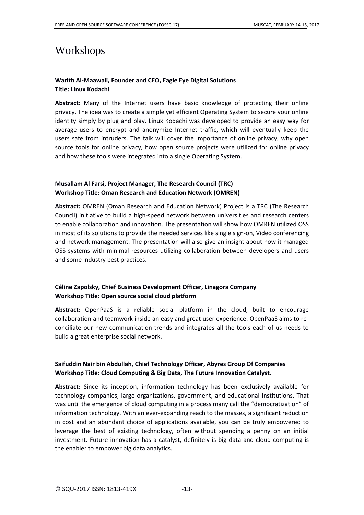### Workshops

### **Warith Al-Maawali, Founder and CEO, Eagle Eye Digital Solutions Title: Linux Kodachi**

**Abstract:** Many of the Internet users have basic knowledge of protecting their online privacy. The idea was to create a simple yet efficient Operating System to secure your online identity simply by plug and play. Linux Kodachi was developed to provide an easy way for average users to encrypt and anonymize Internet traffic, which will eventually keep the users safe from intruders. The talk will cover the importance of online privacy, why open source tools for online privacy, how open source projects were utilized for online privacy and how these tools were integrated into a single Operating System.

### **Musallam Al Farsi, Project Manager, The Research Council (TRC) Workshop Title: Oman Research and Education Network (OMREN)**

**Abstract:** OMREN (Oman Research and Education Network) Project is a TRC (The Research Council) initiative to build a high-speed network between universities and research centers to enable collaboration and innovation. The presentation will show how OMREN utilized OSS in most of its solutions to provide the needed services like single sign-on, Video conferencing and network management. The presentation will also give an insight about how it managed OSS systems with minimal resources utilizing collaboration between developers and users and some industry best practices.

### **Céline Zapolsky, Chief Business Development Officer, Linagora Company Workshop Title: Open source social cloud platform**

**Abstract:** OpenPaaS is a reliable social platform in the cloud, built to encourage collaboration and teamwork inside an easy and great user experience. OpenPaaS aims to reconciliate our new communication trends and integrates all the tools each of us needs to build a great enterprise social network.

### **Saifuddin Nair bin Abdullah, Chief Technology Officer, Abyres Group Of Companies Workshop Title: Cloud Computing & Big Data, The Future Innovation Catalyst.**

**Abstract:** Since its inception, information technology has been exclusively available for technology companies, large organizations, government, and educational institutions. That was until the emergence of cloud computing in a process many call the "democratization" of information technology. With an ever-expanding reach to the masses, a significant reduction in cost and an abundant choice of applications available, you can be truly empowered to leverage the best of existing technology, often without spending a penny on an initial investment. Future innovation has a catalyst, definitely is big data and cloud computing is the enabler to empower big data analytics.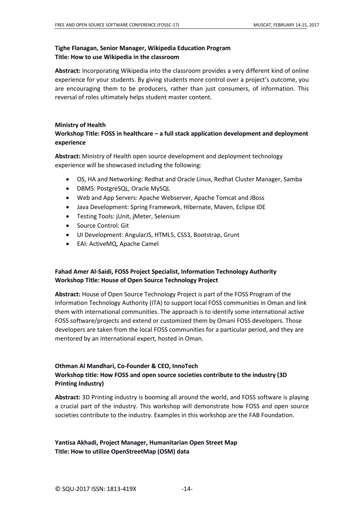### **Tighe Flanagan, Senior Manager, Wikipedia Education Program Title: How to use Wikipedia in the classroom**

**Abstract:** Incorporating Wikipedia into the classroom provides a very different kind of online experience for your students. By giving students more control over a project's outcome, you are encouraging them to be producers, rather than just consumers, of information. This reversal of roles ultimately helps student master content.

### **Ministry of Health**

### **Workshop Title: FOSS in healthcare – a full stack application development and deployment experience**

**Abstract:** Ministry of Health open source development and deployment technology experience will be showcased including the following:

- OS, HA and Networking: Redhat and Oracle Linux, Redhat Cluster Manager, Samba
- DBMS: PostgreSQL, Oracle MySQL
- Web and App Servers: Apache Webserver, Apache Tomcat and JBoss
- Java Development: Spring Framework, Hibernate, Maven, Eclipse IDE
- Testing Tools: jUnit, jMeter, Selenium
- Source Control: Git
- UI Development: AngularJS, HTML5, CSS3, Bootstrap, Grunt
- EAI: ActiveMQ, Apache Camel

### **Fahad Amer Al-Saidi, FOSS Project Specialist, Information Technology Authority Workshop Title: House of Open Source Technology Project**

**Abstract:** House of Open Source Technology Project is part of the FOSS Program of the Information Technology Authority (ITA) to support local FOSS communities in Oman and link them with international communities. The approach is to identify some international active FOSS software/projects and extend or customized them by Omani FOSS developers. Those developers are taken from the local FOSS communities for a particular period, and they are mentored by an international expert, hosted in Oman.

### **Othman Al Mandhari, Co-Founder & CEO, InnoTech Workshop title: How FOSS and open source societies contribute to the industry (3D Printing Industry)**

**Abstract:** 3D Printing industry is booming all around the world, and FOSS software is playing a crucial part of the industry. This workshop will demonstrate how FOSS and open source societies contribute to the industry. Examples in this workshop are the FAB Foundation.

### **Yantisa Akhadi, Project Manager, Humanitarian Open Street Map Title: How to utilize OpenStreetMap (OSM) data**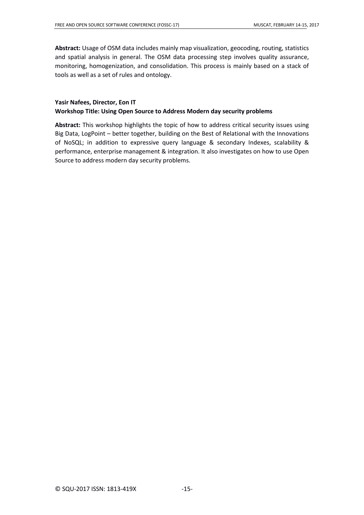**Abstract:** Usage of OSM data includes mainly map visualization, geocoding, routing, statistics and spatial analysis in general. The OSM data processing step involves quality assurance, monitoring, homogenization, and consolidation. This process is mainly based on a stack of tools as well as a set of rules and ontology.

### **Yasir Nafees, Director, Eon IT Workshop Title: Using Open Source to Address Modern day security problems**

**Abstract:** This workshop highlights the topic of how to address critical security issues using Big Data, LogPoint – better together, building on the Best of Relational with the Innovations of NoSQL; in addition to expressive query language & secondary Indexes, scalability & performance, enterprise management & integration. It also investigates on how to use Open Source to address modern day security problems.